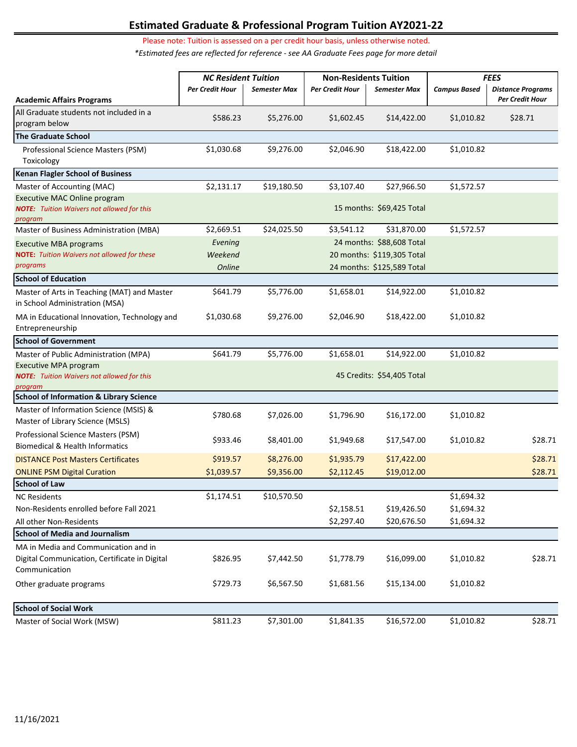# **Estimated Graduate & Professional Program Tuition AY2021-22**

Please note: Tuition is assessed on a per credit hour basis, unless otherwise noted.

*\*Estimated fees are reflected for reference - see AA Graduate Fees page for more detail* 

|                                                                                                        | <b>NC Resident Tuition</b> |                     | <b>Non-Residents Tuition</b> |                            | <b>FEES</b>         |                          |  |
|--------------------------------------------------------------------------------------------------------|----------------------------|---------------------|------------------------------|----------------------------|---------------------|--------------------------|--|
|                                                                                                        | Per Credit Hour            | <b>Semester Max</b> | Per Credit Hour              | <b>Semester Max</b>        | <b>Campus Based</b> | <b>Distance Programs</b> |  |
| <b>Academic Affairs Programs</b>                                                                       |                            |                     |                              |                            |                     | Per Credit Hour          |  |
| All Graduate students not included in a<br>program below                                               | \$586.23                   | \$5,276.00          | \$1,602.45                   | \$14,422.00                | \$1,010.82          | \$28.71                  |  |
| <b>The Graduate School</b>                                                                             |                            |                     |                              |                            |                     |                          |  |
| Professional Science Masters (PSM)<br>Toxicology                                                       | \$1,030.68                 | \$9,276.00          | \$2,046.90                   | \$18,422.00                | \$1,010.82          |                          |  |
| <b>Kenan Flagler School of Business</b>                                                                |                            |                     |                              |                            |                     |                          |  |
| Master of Accounting (MAC)                                                                             | \$2,131.17                 | \$19,180.50         | \$3,107.40                   | \$27,966.50                | \$1,572.57          |                          |  |
| Executive MAC Online program<br><b>NOTE:</b> Tuition Waivers not allowed for this<br>program           |                            |                     |                              | 15 months: \$69,425 Total  |                     |                          |  |
| Master of Business Administration (MBA)                                                                | \$2,669.51                 | \$24,025.50         | \$3,541.12                   | \$31,870.00                | \$1,572.57          |                          |  |
| <b>Executive MBA programs</b>                                                                          | Evening                    |                     |                              | 24 months: \$88,608 Total  |                     |                          |  |
| <b>NOTE:</b> Tuition Waivers not allowed for these                                                     | Weekend                    |                     |                              | 20 months: \$119,305 Total |                     |                          |  |
| programs                                                                                               | Online                     |                     |                              | 24 months: \$125,589 Total |                     |                          |  |
| <b>School of Education</b>                                                                             |                            |                     |                              |                            |                     |                          |  |
| Master of Arts in Teaching (MAT) and Master<br>in School Administration (MSA)                          | \$641.79                   | \$5,776.00          | \$1,658.01                   | \$14,922.00                | \$1,010.82          |                          |  |
| MA in Educational Innovation, Technology and<br>Entrepreneurship                                       | \$1,030.68                 | \$9,276.00          | \$2,046.90                   | \$18,422.00                | \$1,010.82          |                          |  |
| <b>School of Government</b>                                                                            |                            |                     |                              |                            |                     |                          |  |
| Master of Public Administration (MPA)                                                                  | \$641.79                   | \$5,776.00          | \$1,658.01                   | \$14,922.00                | \$1,010.82          |                          |  |
| Executive MPA program<br><b>NOTE:</b> Tuition Waivers not allowed for this<br>program                  |                            |                     |                              | 45 Credits: \$54,405 Total |                     |                          |  |
| <b>School of Information &amp; Library Science</b>                                                     |                            |                     |                              |                            |                     |                          |  |
| Master of Information Science (MSIS) &<br>Master of Library Science (MSLS)                             | \$780.68                   | \$7,026.00          | \$1,796.90                   | \$16,172.00                | \$1,010.82          |                          |  |
| Professional Science Masters (PSM)<br><b>Biomedical &amp; Health Informatics</b>                       | \$933.46                   | \$8,401.00          | \$1,949.68                   | \$17,547.00                | \$1,010.82          | \$28.71                  |  |
| <b>DISTANCE Post Masters Certificates</b>                                                              | \$919.57                   | \$8,276.00          | \$1,935.79                   | \$17,422.00                |                     | \$28.71                  |  |
| <b>ONLINE PSM Digital Curation</b>                                                                     | \$1,039.57                 | \$9,356.00          | \$2,112.45                   | \$19,012.00                |                     | \$28.71                  |  |
| <b>School of Law</b>                                                                                   |                            |                     |                              |                            |                     |                          |  |
| <b>NC Residents</b>                                                                                    | \$1,174.51                 | \$10,570.50         |                              |                            | \$1,694.32          |                          |  |
| Non-Residents enrolled before Fall 2021                                                                |                            |                     | \$2,158.51                   | \$19,426.50                | \$1,694.32          |                          |  |
| All other Non-Residents                                                                                |                            |                     | \$2,297.40                   | \$20,676.50                | \$1,694.32          |                          |  |
| <b>School of Media and Journalism</b>                                                                  |                            |                     |                              |                            |                     |                          |  |
| MA in Media and Communication and in<br>Digital Communication, Certificate in Digital<br>Communication | \$826.95                   | \$7,442.50          | \$1,778.79                   | \$16,099.00                | \$1,010.82          | \$28.71                  |  |
| Other graduate programs                                                                                | \$729.73                   | \$6,567.50          | \$1,681.56                   | \$15,134.00                | \$1,010.82          |                          |  |
| <b>School of Social Work</b>                                                                           |                            |                     |                              |                            |                     |                          |  |
| Master of Social Work (MSW)                                                                            | \$811.23                   | \$7,301.00          | \$1,841.35                   | \$16,572.00                | \$1,010.82          | \$28.71                  |  |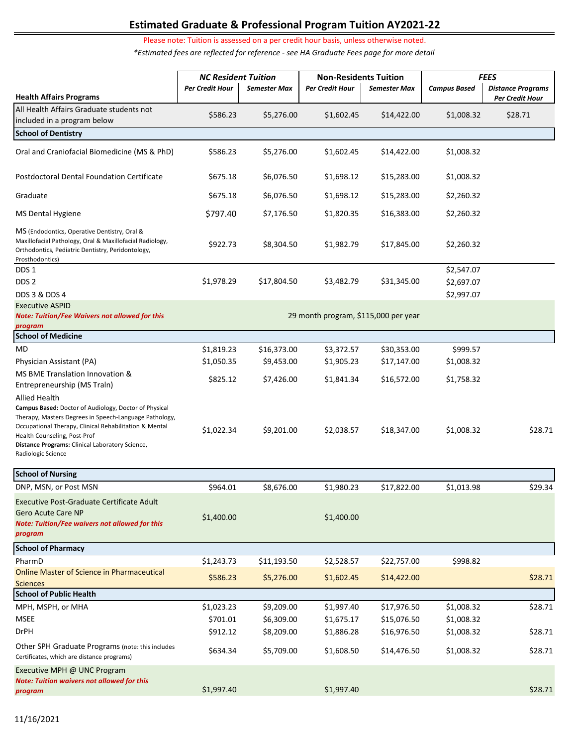# **Estimated Graduate & Professional Program Tuition AY2021-22**

Please note: Tuition is assessed on a per credit hour basis, unless otherwise noted.

*\*Estimated fees are reflected for reference - see HA Graduate Fees page for more detail* 

|                                                                                                                                                                                                                                                                                                            | <b>NC Resident Tuition</b> |                     | <b>Non-Residents Tuition</b>         |              | <b>FEES</b>                            |                          |
|------------------------------------------------------------------------------------------------------------------------------------------------------------------------------------------------------------------------------------------------------------------------------------------------------------|----------------------------|---------------------|--------------------------------------|--------------|----------------------------------------|--------------------------|
|                                                                                                                                                                                                                                                                                                            | Per Credit Hour            | <b>Semester Max</b> | Per Credit Hour                      | Semester Max | <b>Campus Based</b>                    | <b>Distance Programs</b> |
| <b>Health Affairs Programs</b>                                                                                                                                                                                                                                                                             |                            |                     |                                      |              |                                        | Per Credit Hour          |
| All Health Affairs Graduate students not<br>included in a program below                                                                                                                                                                                                                                    | \$586.23                   | \$5,276.00          | \$1,602.45                           | \$14,422.00  | \$1,008.32                             | \$28.71                  |
| <b>School of Dentistry</b>                                                                                                                                                                                                                                                                                 |                            |                     |                                      |              |                                        |                          |
| Oral and Craniofacial Biomedicine (MS & PhD)                                                                                                                                                                                                                                                               | \$586.23                   | \$5,276.00          | \$1,602.45                           | \$14,422.00  | \$1,008.32                             |                          |
| <b>Postdoctoral Dental Foundation Certificate</b>                                                                                                                                                                                                                                                          | \$675.18                   | \$6,076.50          | \$1,698.12                           | \$15,283.00  | \$1,008.32                             |                          |
| Graduate                                                                                                                                                                                                                                                                                                   | \$675.18                   | \$6,076.50          | \$1,698.12                           | \$15,283.00  | \$2,260.32                             |                          |
| <b>MS Dental Hygiene</b>                                                                                                                                                                                                                                                                                   | \$797.40                   | \$7,176.50          | \$1,820.35                           | \$16,383.00  | \$2,260.32                             |                          |
| MS (Endodontics, Operative Dentistry, Oral &<br>Maxillofacial Pathology, Oral & Maxillofacial Radiology,<br>Orthodontics, Pediatric Dentistry, Peridontology,<br>Prosthodontics)                                                                                                                           | \$922.73                   | \$8,304.50          | \$1,982.79                           | \$17,845.00  | \$2,260.32                             |                          |
| DDS 1<br>DDS <sub>2</sub><br>DDS 3 & DDS 4                                                                                                                                                                                                                                                                 | \$1,978.29                 | \$17,804.50         | \$3,482.79                           | \$31,345.00  | \$2,547.07<br>\$2,697.07<br>\$2,997.07 |                          |
| <b>Executive ASPID</b><br><b>Note: Tuition/Fee Waivers not allowed for this</b><br>program                                                                                                                                                                                                                 |                            |                     | 29 month program, \$115,000 per year |              |                                        |                          |
| <b>School of Medicine</b>                                                                                                                                                                                                                                                                                  |                            |                     |                                      |              |                                        |                          |
| MD                                                                                                                                                                                                                                                                                                         | \$1,819.23                 | \$16,373.00         | \$3,372.57                           | \$30,353.00  | \$999.57                               |                          |
| Physician Assistant (PA)                                                                                                                                                                                                                                                                                   | \$1,050.35                 | \$9,453.00          | \$1,905.23                           | \$17,147.00  | \$1,008.32                             |                          |
| MS BME Translation Innovation &<br>Entrepreneurship (MS Traln)                                                                                                                                                                                                                                             | \$825.12                   | \$7,426.00          | \$1,841.34                           | \$16,572.00  | \$1,758.32                             |                          |
| <b>Allied Health</b><br>Campus Based: Doctor of Audiology, Doctor of Physical<br>Therapy, Masters Degrees in Speech-Language Pathology,<br>Occupational Therapy, Clinical Rehabilitation & Mental<br>Health Counseling, Post-Prof<br>Distance Programs: Clinical Laboratory Science,<br>Radiologic Science | \$1,022.34                 | \$9,201.00          | \$2,038.57                           | \$18,347.00  | \$1,008.32                             | \$28.71                  |
| <b>School of Nursing</b>                                                                                                                                                                                                                                                                                   |                            |                     |                                      |              |                                        |                          |
| DNP, MSN, or Post MSN                                                                                                                                                                                                                                                                                      | \$964.01                   | \$8,676.00          | \$1,980.23                           | \$17,822.00  | \$1,013.98                             | \$29.34                  |
| <b>Executive Post-Graduate Certificate Adult</b><br><b>Gero Acute Care NP</b><br><b>Note: Tuition/Fee waivers not allowed for this</b><br>program                                                                                                                                                          | \$1,400.00                 |                     | \$1,400.00                           |              |                                        |                          |
| <b>School of Pharmacy</b>                                                                                                                                                                                                                                                                                  |                            |                     |                                      |              |                                        |                          |
| PharmD                                                                                                                                                                                                                                                                                                     | \$1,243.73                 | \$11,193.50         | \$2,528.57                           | \$22,757.00  | \$998.82                               |                          |
| <b>Online Master of Science in Pharmaceutical</b><br><b>Sciences</b>                                                                                                                                                                                                                                       | \$586.23                   | \$5,276.00          | \$1,602.45                           | \$14,422.00  |                                        | \$28.71                  |
| <b>School of Public Health</b>                                                                                                                                                                                                                                                                             |                            |                     |                                      |              |                                        |                          |
| MPH, MSPH, or MHA                                                                                                                                                                                                                                                                                          | \$1,023.23                 | \$9,209.00          | \$1,997.40                           | \$17,976.50  | \$1,008.32                             | \$28.71                  |
| <b>MSEE</b>                                                                                                                                                                                                                                                                                                | \$701.01                   | \$6,309.00          | \$1,675.17                           | \$15,076.50  | \$1,008.32                             |                          |
| <b>DrPH</b>                                                                                                                                                                                                                                                                                                | \$912.12                   | \$8,209.00          | \$1,886.28                           | \$16,976.50  | \$1,008.32                             | \$28.71                  |
| Other SPH Graduate Programs (note: this includes<br>Certificates, which are distance programs)                                                                                                                                                                                                             | \$634.34                   | \$5,709.00          | \$1,608.50                           | \$14,476.50  | \$1,008.32                             | \$28.71                  |
| Executive MPH @ UNC Program<br><b>Note: Tuition waivers not allowed for this</b><br>program                                                                                                                                                                                                                | \$1,997.40                 |                     | \$1,997.40                           |              |                                        | \$28.71                  |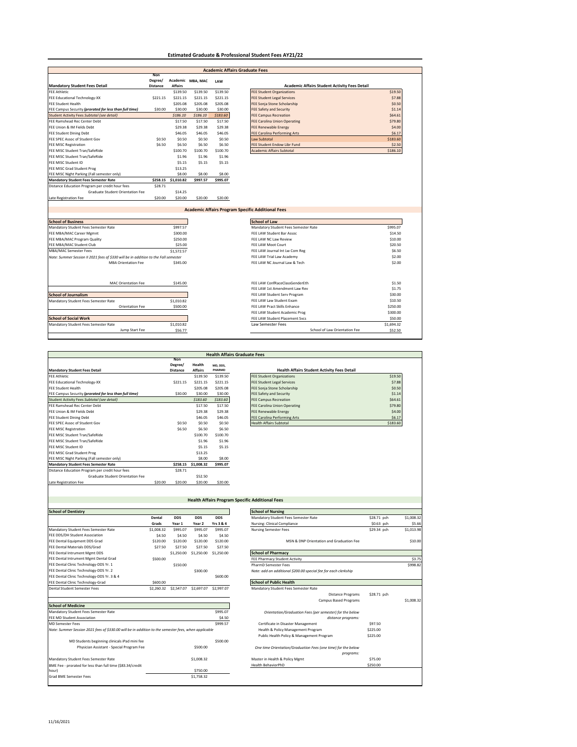#### **Estimated Graduate & Professional Student Fees AY21/22**

|                                                                                                                                                                                                                                                                                                                                                                                |                 |                |                                                          | <b>Academic Affairs Graduate Fees</b> |
|--------------------------------------------------------------------------------------------------------------------------------------------------------------------------------------------------------------------------------------------------------------------------------------------------------------------------------------------------------------------------------|-----------------|----------------|----------------------------------------------------------|---------------------------------------|
|                                                                                                                                                                                                                                                                                                                                                                                | <b>Non</b>      |                |                                                          |                                       |
|                                                                                                                                                                                                                                                                                                                                                                                | Degree/         | <b>Affairs</b> | Academic MBA, MAC                                        | LAW                                   |
| <b>Mandatory Student Fees Detail</b><br><b>FEE Athletic</b>                                                                                                                                                                                                                                                                                                                    | <b>Distance</b> | \$139.50       | \$139.50                                                 | \$139.50                              |
| FEE Educational Technology-XX                                                                                                                                                                                                                                                                                                                                                  | \$221.15        | \$221.15       | \$221.15                                                 | \$221.15                              |
| <b>FEE Student Health</b>                                                                                                                                                                                                                                                                                                                                                      |                 | \$205.08       | \$205.08                                                 | \$205.08                              |
| FEE Campus Security (prorated for less than full time)                                                                                                                                                                                                                                                                                                                         | \$30.00         | \$30.00        | \$30.00                                                  | \$30.00                               |
| Student Activity Fees Subtotal (see detail)                                                                                                                                                                                                                                                                                                                                    |                 | \$186.10       | \$186.10                                                 | \$183.60                              |
| FEE Ramshead Rec Center Debt                                                                                                                                                                                                                                                                                                                                                   |                 | \$17.50        | \$17.50                                                  | \$17.50                               |
| FEE Union & IM Fields Debt                                                                                                                                                                                                                                                                                                                                                     |                 |                |                                                          |                                       |
|                                                                                                                                                                                                                                                                                                                                                                                |                 | \$29.38        | \$29.38                                                  | \$29.38                               |
| <b>FEE Student Dining Debt</b>                                                                                                                                                                                                                                                                                                                                                 |                 | \$46.05        | \$46.05                                                  | \$46.05                               |
| FEE SPEC Assoc of Student Gov                                                                                                                                                                                                                                                                                                                                                  | \$0.50          | \$0.50         | \$0.50                                                   | \$0.50                                |
| <b>FEE MISC Registration</b>                                                                                                                                                                                                                                                                                                                                                   | \$6.50          | \$6.50         | \$6.50                                                   | \$6.50                                |
| FEE MISC Student Tran/SafeRide                                                                                                                                                                                                                                                                                                                                                 |                 | \$100.70       | \$100.70                                                 | \$100.70                              |
| FEE MISC Student Tran/SafeRide                                                                                                                                                                                                                                                                                                                                                 |                 | \$1.96         | \$1.96                                                   | \$1.96                                |
| FEE MISC Student ID                                                                                                                                                                                                                                                                                                                                                            |                 | \$5.15         | \$5.15                                                   | \$5.15                                |
| FEE MISC Grad Student Prog                                                                                                                                                                                                                                                                                                                                                     |                 | \$13.25        |                                                          |                                       |
| FEE MISC Night Parking (Fall semester only)                                                                                                                                                                                                                                                                                                                                    |                 | \$8.00         | \$8.00                                                   | \$8.00                                |
| <b>Mandatory Student Fees Semester Rate</b>                                                                                                                                                                                                                                                                                                                                    | \$258.15        | \$1,010.82     | \$997.57                                                 | \$995.07                              |
| Distance Education Program per credit hour fees                                                                                                                                                                                                                                                                                                                                | \$28.71         |                |                                                          |                                       |
|                                                                                                                                                                                                                                                                                                                                                                                |                 |                |                                                          |                                       |
| Graduate Student Orientation Fee                                                                                                                                                                                                                                                                                                                                               |                 | \$14.25        |                                                          |                                       |
|                                                                                                                                                                                                                                                                                                                                                                                | \$20.00         | \$20.00        | \$20.00                                                  | \$20.00                               |
|                                                                                                                                                                                                                                                                                                                                                                                |                 |                |                                                          |                                       |
|                                                                                                                                                                                                                                                                                                                                                                                |                 |                | <b>Academic Affairs Program Specific Additional Fees</b> |                                       |
|                                                                                                                                                                                                                                                                                                                                                                                |                 |                |                                                          |                                       |
|                                                                                                                                                                                                                                                                                                                                                                                |                 |                |                                                          |                                       |
|                                                                                                                                                                                                                                                                                                                                                                                |                 | \$997.57       |                                                          |                                       |
|                                                                                                                                                                                                                                                                                                                                                                                |                 | \$300.00       |                                                          |                                       |
|                                                                                                                                                                                                                                                                                                                                                                                |                 | \$250.00       |                                                          |                                       |
|                                                                                                                                                                                                                                                                                                                                                                                |                 | \$25.00        |                                                          |                                       |
|                                                                                                                                                                                                                                                                                                                                                                                |                 | \$1,572.57     |                                                          |                                       |
|                                                                                                                                                                                                                                                                                                                                                                                |                 |                |                                                          |                                       |
|                                                                                                                                                                                                                                                                                                                                                                                |                 |                |                                                          |                                       |
| <b>MBA Orientation Fee</b>                                                                                                                                                                                                                                                                                                                                                     |                 | \$345.00       |                                                          |                                       |
|                                                                                                                                                                                                                                                                                                                                                                                |                 |                |                                                          |                                       |
|                                                                                                                                                                                                                                                                                                                                                                                |                 |                |                                                          |                                       |
| <b>MAC Orientation Fee</b>                                                                                                                                                                                                                                                                                                                                                     |                 | \$145.00       |                                                          |                                       |
|                                                                                                                                                                                                                                                                                                                                                                                |                 |                |                                                          |                                       |
|                                                                                                                                                                                                                                                                                                                                                                                |                 |                |                                                          |                                       |
| Mandatory Student Fees Semester Rate                                                                                                                                                                                                                                                                                                                                           |                 | \$1,010.82     |                                                          |                                       |
| Orientation Fee                                                                                                                                                                                                                                                                                                                                                                |                 | \$500.00       |                                                          |                                       |
|                                                                                                                                                                                                                                                                                                                                                                                |                 |                |                                                          |                                       |
| <b>Late Registration Fee</b><br><b>School of Business</b><br>Mandatory Student Fees Semester Rate<br>FEE MBA/MAC Career Mgmnt<br>FEE MBA/MAC Program Quality<br>FEE MBA/MAC Student Club<br><b>MBA/MAC Semester Fees</b><br>Note: Summer Session II 2021 fees of \$330 will be in addition to the Fall semester<br><b>School of Journalism</b><br><b>School of Social Work</b> |                 |                |                                                          |                                       |
| Mandatory Student Fees Semester Rate                                                                                                                                                                                                                                                                                                                                           |                 | \$1,010.82     |                                                          |                                       |

| <b>Health Affairs Graduate Fees</b>                           |         |                                   |                          |                    |                                                    |          |  |
|---------------------------------------------------------------|---------|-----------------------------------|--------------------------|--------------------|----------------------------------------------------|----------|--|
| <b>Mandatory Student Fees Detail</b>                          |         | Non<br>Degree/<br><b>Distance</b> | Health<br><b>Affairs</b> | MD, DDS.<br>PHARMD | <b>Health Affairs Student Activity Fees Detail</b> |          |  |
| <b>FEE Athletic</b>                                           |         |                                   | \$139.50                 | \$139.50           | <b>FEE Student Organizations</b>                   | \$19.50  |  |
| FEE Educational Technology-XX                                 |         | \$221.15                          | \$221.15                 | \$221.15           | <b>FEE Student Legal Services</b>                  | \$7.88   |  |
| <b>FFF Student Health</b>                                     |         |                                   | \$205.08                 | \$205.08           | FEE Sonia Stone Scholarship                        | \$0.50   |  |
| FEE Campus Security <i>(prorated for less than full time)</i> |         | \$30.00                           | \$30.00                  | \$30.00            | <b>FEE Safety and Security</b>                     | \$1.14   |  |
| Student Activity Fees Subtotal (see detail)                   |         |                                   | \$183.60                 | \$183.60           | <b>FEE Campus Recreation</b>                       | \$64.61  |  |
| FFF Ramshead Rec Center Debt                                  |         |                                   | \$17.50                  | \$17.50            | <b>FEE Carolina Union Operating</b>                | \$79.80  |  |
| FEE Union & IM Fields Debt                                    |         |                                   | \$29.38                  | \$29.38            | <b>FEE Renewable Energy</b>                        | \$4.00   |  |
| FEE Student Dining Debt                                       |         |                                   | \$46.05                  | \$46.05            | FEE Carolina Performing Arts                       | \$6.17   |  |
| FFF SPEC Assoc of Student Gov                                 |         | \$0.50                            | \$0.50                   | \$0.50             | <b>Health Affairs Subtotal</b>                     | \$183.60 |  |
| <b>FEE MISC Registration</b>                                  |         | \$6.50                            | \$6.50                   | \$6.50             |                                                    |          |  |
| FEE MISC Student Tran/SafeRide                                |         |                                   | \$100.70                 | \$100.70           |                                                    |          |  |
| FEE MISC Student Tran/SafeRide                                |         |                                   | \$1.96                   | \$1.96             |                                                    |          |  |
| FFF MISC Student ID                                           |         |                                   | \$5.15                   | \$5.15             |                                                    |          |  |
| FEE MISC Grad Student Prog                                    |         |                                   | \$13.25                  |                    |                                                    |          |  |
| FEE MISC Night Parking (Fall semester only)                   |         |                                   | \$8.00                   | \$8.00             |                                                    |          |  |
| <b>Mandatory Student Fees Semester Rate</b>                   |         | \$258.15                          | \$1,008.32               | \$995.07           |                                                    |          |  |
| Distance Education Program per credit hour fees               |         | \$28.71                           |                          |                    |                                                    |          |  |
| Graduate Student Orientation Fee                              |         |                                   | \$52.50                  |                    |                                                    |          |  |
| Late Registration Fee                                         | \$20.00 | \$20.00                           | \$20.00                  | \$20.00            |                                                    |          |  |

| <b>FEE Student Organizations</b>    | \$19.50  |
|-------------------------------------|----------|
| <b>FEE Student Legal Services</b>   | \$7.88   |
| FEE Sonja Stone Scholarship         | \$0.50   |
| FEE Safety and Security             | \$1.14   |
| <b>FEE Campus Recreation</b>        | \$64.61  |
| <b>FEE Carolina Union Operating</b> | \$79.80  |
| FEE Renewable Energy                | \$4.00   |
| FEE Carolina Performing Arts        | \$6.17   |
| <b>Health Affairs Subtotal</b>      | \$183.60 |

|                                                                                                      |            |            |                   |                                               | <b>Health Affairs Program Specific Additional Fees</b>          |  |
|------------------------------------------------------------------------------------------------------|------------|------------|-------------------|-----------------------------------------------|-----------------------------------------------------------------|--|
|                                                                                                      |            |            |                   |                                               |                                                                 |  |
| <b>School of Dentistry</b>                                                                           |            |            |                   |                                               | <b>School of Nursing</b>                                        |  |
|                                                                                                      | Dental     | <b>DDS</b> | <b>DDS</b>        | <b>DDS</b>                                    | Mandatory Student Fees Semester Rate<br>\$28.71 pch             |  |
|                                                                                                      | Grads      | Year 1     | Year <sub>2</sub> | Yrs 3 & 4                                     | Nursing: Clinical Compliance<br>\$0.63 pch                      |  |
| Mandatory Student Fees Semester Rate                                                                 | \$1,008.32 | \$995.07   | \$995.07          | \$995.07                                      | <b>Nursing Semester Fees</b><br>\$29.34 pch                     |  |
| FEE DDS/DH Student Association                                                                       | \$4.50     | \$4.50     | \$4.50            | \$4.50                                        |                                                                 |  |
| FEE Dental Equipment DDS Grad                                                                        | \$120.00   | \$120.00   | \$120.00          | \$120.00                                      | MSN & DNP Orientation and Graduation Fee                        |  |
| FEE Dental Materials DDS/Grad                                                                        | \$27.50    | \$27.50    | \$27.50           | \$27.50                                       |                                                                 |  |
| FEE Dental Intrument Memt DDS                                                                        |            | \$1,250.00 | \$1,250.00        | \$1,250.00                                    | <b>School of Pharmacy</b>                                       |  |
| FEE Dental Intrument Mgmt Dental Grad                                                                | \$500.00   |            |                   |                                               | <b>FEE Pharmacy Student Activity</b>                            |  |
| FEE Dental Clinic Technology-DDS Yr. 1                                                               |            | \$150.00   |                   |                                               | PharmD Semester Fees                                            |  |
| FEE Dental Clinic Technology-DDS Yr. 2                                                               |            |            | \$300.00          |                                               | Note: add an additional \$200.00 special fee for each clerkship |  |
| FEE Dental Clinic Technology-DDS Yr. 3 & 4                                                           |            |            |                   | \$600.00                                      |                                                                 |  |
| FEE Dental Clinic Technology-Grad                                                                    | \$600.00   |            |                   |                                               | <b>School of Public Health</b>                                  |  |
| Dental Student Semester Fees                                                                         | \$2,260.32 | \$2,547.07 | \$2,697.07        | \$2,997.07                                    | Mandatory Student Fees Semester Rate                            |  |
|                                                                                                      |            |            |                   |                                               | \$28.71 pch<br><b>Distance Programs</b>                         |  |
|                                                                                                      |            |            |                   |                                               | <b>Campus Based Programs</b>                                    |  |
| <b>School of Medicine</b>                                                                            |            |            |                   |                                               |                                                                 |  |
| Mandatory Student Fees Semester Rate                                                                 |            |            |                   | \$995.07                                      | Orientation/Graduation Fees (per semester) for the below        |  |
| <b>FFF MD Student Association</b>                                                                    |            |            | \$4.50            |                                               | distance programs:                                              |  |
| <b>MD Semester Fees</b>                                                                              | \$999.57   |            |                   | \$97.50<br>Certificate in Disaster Management |                                                                 |  |
| Note: Summer Session 2021 fees of \$330.00 will be in addition to the semester fees, when applicable |            |            |                   |                                               | Health & Policy Management Program<br>\$225.00                  |  |
|                                                                                                      |            |            |                   |                                               | Public Health Policy & Management Program<br>\$225.00           |  |
| MD Students beginning clinicals iPad mini fee                                                        |            |            |                   | \$500.00                                      |                                                                 |  |
| Physician Assistant - Special Program Fee                                                            |            |            | \$500.00          |                                               | One time Orientation/Graduation Fees (one time) for the below   |  |
|                                                                                                      |            |            |                   |                                               | programs:                                                       |  |

|                                                                                                      |            |                       |            |            | <b>Health Affairs Program Specific Additional Fees</b>          |             |
|------------------------------------------------------------------------------------------------------|------------|-----------------------|------------|------------|-----------------------------------------------------------------|-------------|
|                                                                                                      |            |                       |            |            |                                                                 |             |
| <b>School of Dentistry</b>                                                                           |            |                       |            |            | <b>School of Nursing</b>                                        |             |
|                                                                                                      | Dental     | <b>DDS</b>            | <b>DDS</b> | <b>DDS</b> | Mandatory Student Fees Semester Rate                            | \$28.71 pch |
|                                                                                                      | Grads      | Year 1                | Year 2     | Yrs 3 & 4  | Nursing: Clinical Compliance                                    | \$0.63 pch  |
| Mandatory Student Fees Semester Rate                                                                 | \$1,008.32 | \$995.07              | \$995.07   | \$995.07   | <b>Nursing Semester Fees</b>                                    | \$29.34 pch |
| FEE DDS/DH Student Association                                                                       | \$4.50     | \$4.50                | \$4.50     | \$4.50     |                                                                 |             |
| FEE Dental Equipment DDS Grad                                                                        | \$120.00   | \$120.00              | \$120.00   | \$120.00   | MSN & DNP Orientation and Graduation Fee                        |             |
| FEE Dental Materials DDS/Grad                                                                        | \$27.50    | \$27.50               | \$27.50    | \$27.50    |                                                                 |             |
| FEE Dental Intrument Mgmt DDS                                                                        |            | \$1,250.00            | \$1,250.00 | \$1,250.00 | <b>School of Pharmacy</b>                                       |             |
| FEE Dental Intrument Memt Dental Grad                                                                | \$500.00   |                       |            |            | FEE Pharmacy Student Activity                                   |             |
| FEE Dental Clinic Technology-DDS Yr. 1                                                               |            | \$150.00              |            |            | <b>PharmD Semester Fees</b>                                     |             |
| FEE Dental Clinic Technology-DDS Yr. 2                                                               |            |                       | \$300.00   |            | Note: add an additional \$200.00 special fee for each clerkship |             |
| FEE Dental Clinic Technology-DDS Yr. 3 & 4                                                           |            |                       |            | \$600.00   |                                                                 |             |
| FEE Dental Clinic Technology-Grad                                                                    | \$600.00   |                       |            |            | <b>School of Public Health</b>                                  |             |
| <b>Dental Student Semester Fees</b>                                                                  |            | \$2,260.32 \$2,547.07 | \$2,697.07 | \$2,997.07 | Mandatory Student Fees Semester Rate                            |             |
|                                                                                                      |            |                       |            |            | <b>Distance Programs</b>                                        | \$28.71 pch |
|                                                                                                      |            |                       |            |            | Campus Based Programs                                           |             |
| <b>School of Medicine</b>                                                                            |            |                       |            |            |                                                                 |             |
| Mandatory Student Fees Semester Rate                                                                 |            |                       |            | \$995.07   | Orientation/Graduation Fees (per semester) for the below        |             |
| FEE MD Student Association                                                                           |            |                       |            | \$4.50     | distance programs:                                              |             |
| <b>MD Semester Fees</b>                                                                              |            |                       |            | \$999.57   | Certificate in Disaster Management                              | \$97.50     |
| Note: Summer Session 2021 fees of \$330.00 will be in addition to the semester fees, when applicable |            |                       |            |            | Health & Policy Management Program                              | \$225.00    |
|                                                                                                      |            |                       |            |            | Public Health Policy & Management Program                       | \$225.00    |
| MD Students beginning clinicals iPad mini fee                                                        |            |                       |            | \$500.00   |                                                                 |             |
| Physician Assistant - Special Program Fee                                                            |            |                       | \$500.00   |            | One time Orientation/Graduation Fees (one time) for the below   |             |
|                                                                                                      |            |                       |            |            | programs:                                                       |             |
| Mandatory Student Fees Semester Rate                                                                 |            |                       | \$1,008.32 |            | Master in Health & Policy Mgmt                                  | \$75.00     |
| BME Fee - prorated for less than full time (\$83.34/credit                                           |            |                       |            |            | <b>Health BehaviorPhD</b>                                       | \$250.00    |
| hour)                                                                                                |            |                       | \$750.00   |            |                                                                 |             |
| <b>Grad BMF Semester Fees</b>                                                                        |            |                       | \$1,758.32 |            |                                                                 |             |

**r**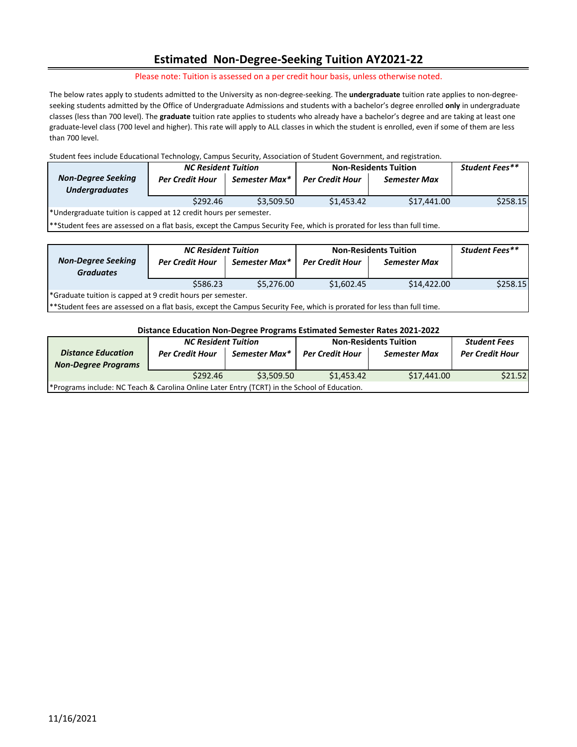## **Estimated Non-Degree-Seeking Tuition AY2021-22**

Please note: Tuition is assessed on a per credit hour basis, unless otherwise noted.

 seeking students admitted by the Office of Undergraduate Admissions and students with a bachelor's degree enrolled **only** in undergraduate classes (less than 700 level). The **graduate** tuition rate applies to students who already have a bachelor's degree and are taking at least one The below rates apply to students admitted to the University as non-degree-seeking. The **undergraduate** tuition rate applies to non-degreegraduate-level class (700 level and higher). This rate will apply to ALL classes in which the student is enrolled, even if some of them are less than 700 level.

#### Student fees include Educational Technology, Campus Security, Association of Student Government, and registration.

|                                                                   | <b>NC Resident Tuition</b> |               | <b>Non-Residents Tuition</b> | <b>Student Fees**</b> |          |  |
|-------------------------------------------------------------------|----------------------------|---------------|------------------------------|-----------------------|----------|--|
| <b>Non-Degree Seeking</b><br><b>Undergraduates</b>                | <b>Per Credit Hour</b>     | Semester Max* | <b>Per Credit Hour</b>       | <b>Semester Max</b>   |          |  |
|                                                                   | \$292.46                   | \$3,509.50    | \$1,453.42                   | \$17,441.00           | \$258.15 |  |
| *Undergraduate tuition is capped at 12 credit hours per semester. |                            |               |                              |                       |          |  |

\*Student fees are assessed on a flat basis, except the Campus Security Fee, which is prorated for less than full time.

|                                                             | <b>NC Resident Tuition</b> |               | <b>Non-Residents Tuition</b> | <b>Student Fees**</b> |          |  |
|-------------------------------------------------------------|----------------------------|---------------|------------------------------|-----------------------|----------|--|
| <b>Non-Degree Seeking</b><br><b>Graduates</b>               | <b>Per Credit Hour</b>     | Semester Max* | <b>Per Credit Hour</b>       | <b>Semester Max</b>   |          |  |
|                                                             | \$586.23                   | \$5,276.00    | \$1,602.45                   | \$14,422.00           | \$258.15 |  |
| *Graduate tuition is capped at 9 credit hours per semester. |                            |               |                              |                       |          |  |

\*\*Student fees are assessed on a flat basis, except the Campus Security Fee, which is prorated for less than full time.

#### **Distance Education Non-Degree Programs Estimated Semester Rates 2021-2022**

| <b>Distance Education</b><br><b>Non-Degree Programs</b>                                      | <b>NC Resident Tuition</b><br><b>Per Credit Hour</b><br>Semester Max* |            | <b>Non-Residents Tuition</b><br><b>Per Credit Hour</b> | <b>Student Fees</b><br><b>Per Credit Hour</b> |         |  |
|----------------------------------------------------------------------------------------------|-----------------------------------------------------------------------|------------|--------------------------------------------------------|-----------------------------------------------|---------|--|
|                                                                                              | \$292.46                                                              | \$3,509.50 | \$1,453.42                                             | \$17,441.00                                   | \$21.52 |  |
| *Programs include: NC Teach & Carolina Online Later Entry (TCRT) in the School of Education. |                                                                       |            |                                                        |                                               |         |  |